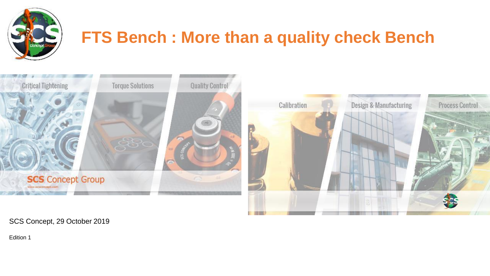

# **FTS Bench : More than a quality check Bench**



SCS Concept, 29 October 2019

Edition 1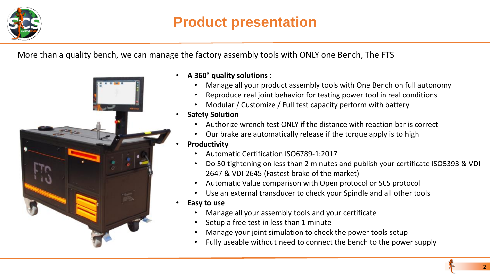

## **Product presentation**

More than a quality bench, we can manage the factory assembly tools with ONLY one Bench, The FTS



- **A 360° quality solutions** :
	- Manage all your product assembly tools with One Bench on full autonomy
	- Reproduce real joint behavior for testing power tool in real conditions
	- Modular / Customize / Full test capacity perform with battery
- **Safety Solution**
	- Authorize wrench test ONLY if the distance with reaction bar is correct
	- Our brake are automatically release if the torque apply is to high
- **Productivity**
	- Automatic Certification ISO6789-1:2017
	- Do 50 tightening on less than 2 minutes and publish your certificate ISO5393 & VDI 2647 & VDI 2645 (Fastest brake of the market)
	- Automatic Value comparison with Open protocol or SCS protocol
	- Use an external transducer to check your Spindle and all other tools
- **Easy to use**
	- Manage all your assembly tools and your certificate
	- Setup a free test in less than 1 minute
	- Manage your joint simulation to check the power tools setup
	- Fully useable without need to connect the bench to the power supply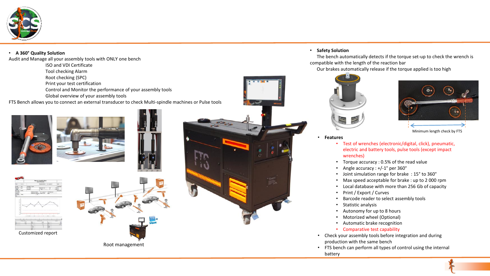

#### • **A 360° Quality Solution**

Audit and Manage all your assembly tools with ONLY one bench

ISO and VDI Certificate

Tool checking Alarm

Root checking (SPC)

Print your test certification

Control and Monitor the performance of your assembly tools

Global overview of your assembly tools

FTS Bench allows you to connect an external transducer to check Multi-spindle machines or Pulse tools









• **Safety Solution**

The bench automatically detects if the torque set-up to check the wrench is compatible with the length of the reaction bar

Our brakes automatically release if the torque applied is too high





Minimum length check by FTS

#### • **Features**

- Test of wrenches (electronic/digital, click), pneumatic, electric and battery tools, pulse tools (except impact wrenches)
- Torque accuracy : 0.5% of the read value
- Angle accuracy : +/-1° per 360°
- Joint simulation range for brake : 15° to 360°
- Max speed acceptable for brake : up to 2 000 rpm
- Local database with more than 256 Gb of capacity
- Print / Export / Curves
- Barcode reader to select assembly tools
- Statistic analysis
- Autonomy for up to 8 hours
- Motorized wheel (Optional)
- Automatic brake recognition
- Comparative test capability
- Check your assembly tools before integration and during production with the same bench
- FTS bench can perform all types of control using the internal battery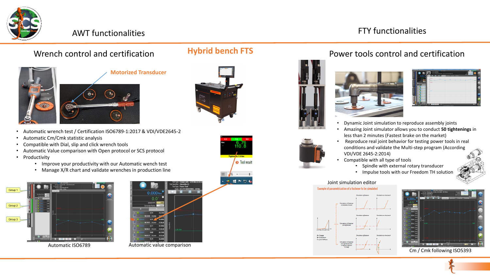

## AWT functionalities **AWT** functionalities



- Automatic wrench test / Certification ISO6789-1:2017 & VDI/VDE2645-2
- Automatic Cm/Cmk statistic analysis
- Compatible with Dial, slip and click wrench tools
- Automatic Value comparison with Open protocol or SCS protocol
- Productivity
	- Improve your productivity with our Automatic wench test
	- Manage X/R chart and validate wrenches in production line





Automatic ISO6789 Automatic value comparison

## **Hybrid bench FTS**





### Wrench control and certification **Hybrid bench FIS** Power tools control and certification





| 0.00 <sub>n</sub> |                                 | œ                      | × | business process in tracks that has | <b>Building</b><br><b>CALLAGE SIN</b> |              |
|-------------------|---------------------------------|------------------------|---|-------------------------------------|---------------------------------------|--------------|
|                   | 0.0                             | <b>HARMS</b>           |   |                                     |                                       |              |
| -                 | <b>TITLE</b>                    | $\sim$<br><b>COLOR</b> |   |                                     |                                       | m.           |
|                   | -<br>$-144$                     | <b>PO</b><br>23.9 %    |   |                                     |                                       | $\mathbf{u}$ |
|                   | ٠                               | $\sim$                 |   |                                     |                                       |              |
|                   |                                 |                        |   |                                     |                                       |              |
| n<br>×<br>w       | <b>DR</b><br><b>DOT</b>         | $\sim$                 |   |                                     |                                       |              |
| $\sim$            | <b>The Contract</b>             | $\sim$                 |   |                                     |                                       |              |
| w<br>$\sim$       | <b>COL</b><br>-<br><b>COLOR</b> |                        |   |                                     |                                       | <b>Tal</b>   |
| w                 | 27.3<br>_                       |                        |   |                                     |                                       |              |
| $\sim$<br>w       | $\overline{a}$<br>128.8         | <b>STEP</b>            |   |                                     |                                       |              |
| <b>TO</b>         | -<br><b>START</b>               | $\sim$                 |   |                                     |                                       |              |
| ъ                 | $\overline{1}$                  | <b>STAR</b>            |   |                                     |                                       | a            |
| w.<br>n<br>w      | $-1$<br>190                     |                        |   |                                     |                                       |              |
| ÷                 |                                 | $\sim$                 |   | .                                   |                                       | ГR           |

- Dynamic Joint simulation to reproduce assembly joints
- Amazing Joint simulator allows you to conduct **50 tightenings** in less than 2 minutes (Fastest brake on the market)
- Reproduce real joint behavior for testing power tools in real conditions and validate the Multi-step program (According VDI/VDE 2645-2:2014)
- Compatible with all type of tools
	- Spindle with external rotary transducer
	- Impulse tools with our Freedom TH solution

#### Joint simulation editor





Cm / Cmk following ISO5393